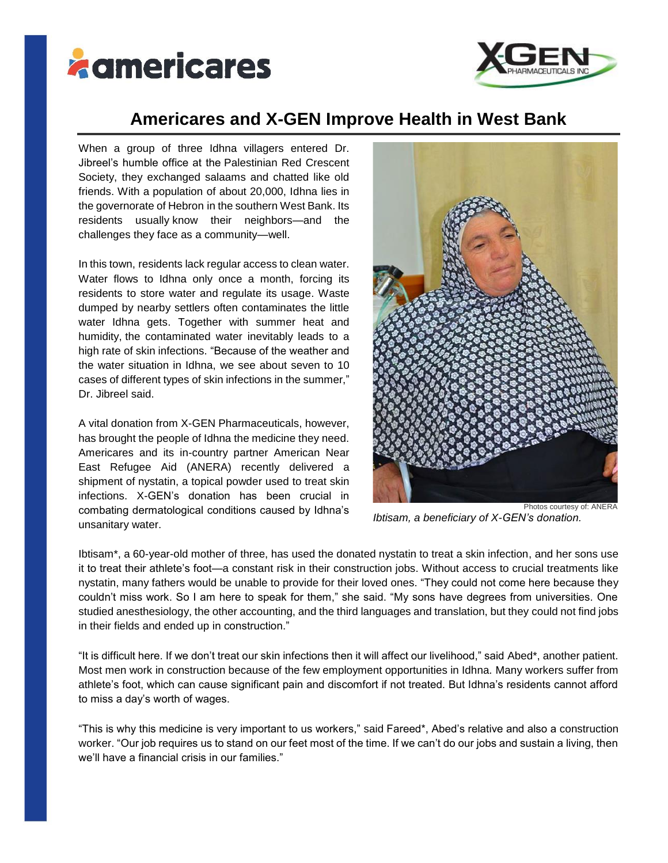



## **Americares and X-GEN Improve Health in West Bank**

When a group of three Idhna villagers entered Dr. Jibreel's humble office at the Palestinian Red Crescent Society, they exchanged salaams and chatted like old friends. With a population of about 20,000, Idhna lies in the governorate of Hebron in the southern West Bank. Its residents usually know their neighbors—and the challenges they face as a community—well.

In this town, residents lack regular access to clean water. Water flows to Idhna only once a month, forcing its residents to store water and regulate its usage. Waste dumped by nearby settlers often contaminates the little water Idhna gets. Together with summer heat and humidity, the contaminated water inevitably leads to a high rate of skin infections. "Because of the weather and the water situation in Idhna, we see about seven to 10 cases of different types of skin infections in the summer," Dr. Jibreel said.

A vital donation from X-GEN Pharmaceuticals, however, has brought the people of Idhna the medicine they need. Americares and its in-country partner American Near East Refugee Aid (ANERA) recently delivered a shipment of nystatin, a topical powder used to treat skin infections. X-GEN's donation has been crucial in combating dermatological conditions caused by Idhna's unsanitary water.



*Ibtisam, a beneficiary of X-GEN's donation.*

Ibtisam\*, a 60-year-old mother of three, has used the donated nystatin to treat a skin infection, and her sons use it to treat their athlete's foot—a constant risk in their construction jobs. Without access to crucial treatments like nystatin, many fathers would be unable to provide for their loved ones. "They could not come here because they couldn't miss work. So I am here to speak for them," she said. "My sons have degrees from universities. One studied anesthesiology, the other accounting, and the third languages and translation, but they could not find jobs in their fields and ended up in construction."

"It is difficult here. If we don't treat our skin infections then it will affect our livelihood," said Abed\*, another patient. Most men work in construction because of the few employment opportunities in Idhna. Many workers suffer from athlete's foot, which can cause significant pain and discomfort if not treated. But Idhna's residents cannot afford to miss a day's worth of wages.

"This is why this medicine is very important to us workers," said Fareed\*, Abed's relative and also a construction worker. "Our job requires us to stand on our feet most of the time. If we can't do our jobs and sustain a living, then we'll have a financial crisis in our families."